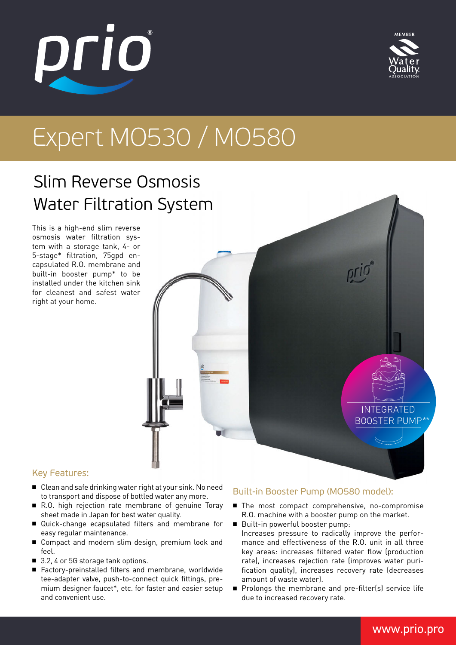# Expert MO530 / MO580

## Slim Reverse Osmosis Water Filtration System

This is a high-end slim reverse osmosis water filtration system with a storage tank, 4- or 5-stage\* filtration, 75gpd encapsulated R.O. membrane and built-in booster pump\* to be installed under the kitchen sink for cleanest and safest water right at your home.

#### Key Features:

- Clean and safe drinking water right at your sink. No need to transport and dispose of bottled water any more.
- R.O. high rejection rate membrane of genuine Toray sheet made in Japan for best water quality.
- Quick-change ecapsulated filters and membrane for easy regular maintenance.
- Compact and modern slim design, premium look and feel.
- 3.2, 4 or 5G storage tank options.
- Factory-preinstalled filters and membrane, worldwide tee-adapter valve, push-to-connect quick fittings, premium designer faucet\*, etc. for faster and easier setup and convenient use.

#### Built-in Booster Pump (MO580 model):

- The most compact comprehensive, no-compromise R.O. machine with a booster pump on the market.
- Built-in powerful booster pump: Increases pressure to radically improve the performance and effectiveness of the R.O. unit in all three key areas: increases filtered water flow (production rate), increases rejection rate (improves water purification quality), increases recovery rate (decreases amount of waste water).
- Prolongs the membrane and pre-filter(s) service life due to increased recovery rate.